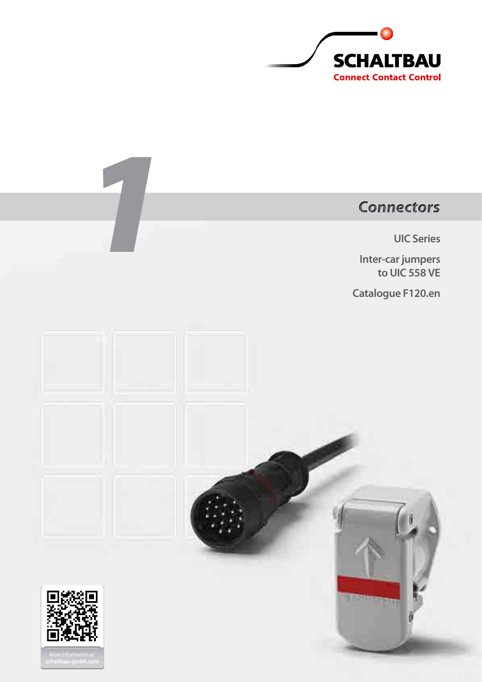

# *Connectors*

**UIC Series**

**Inter-car jumpers to UIC 558 VE**

**Catalogue F120.en**



*1*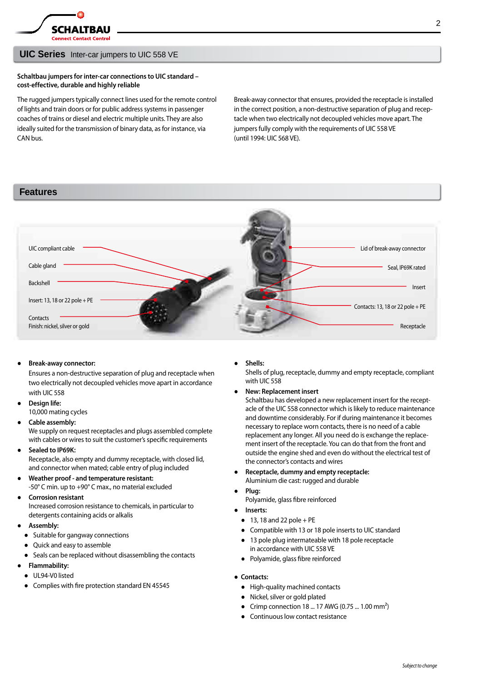

### **UIC Series** Inter-car jumpers to UIC 558 VE

### **Schaltbau jumpers for inter-car connections to UIC standard – cost-effective, durable and highly reliable**

The rugged jumpers typically connect lines used for the remote control of lights and train doors or for public address systems in passenger coaches of trains or diesel and electric multiple units. They are also ideally suited for the transmission of binary data, as for instance, via CAN bus.

Break-away connector that ensures, provided the receptacle is installed in the correct position, a non-destructive separation of plug and receptacle when two electrically not decoupled vehicles move apart. The jumpers fully comply with the requirements of UIC 558 VE (until 1994: UIC 568 VE).

### **Features**



### **Break-away connector:**

Ensures a non-destructive separation of plug and receptacle when two electrically not decoupled vehicles move apart in accordance with UIC 558

- **Design life:** 10,000 mating cycles
- Cable assembly:

We supply on request receptacles and plugs assembled complete with cables or wires to suit the customer's specific requirements

**Sealed to IP69K:** 

Receptacle, also empty and dummy receptacle, with closed lid, and connector when mated; cable entry of plug included

- **Weather proof and temperature resistant:**  -50° C min. up to +90° C max., no material excluded
- **Corrosion resistant** Increased corrosion resistance to chemicals, in particular to detergents containing acids or alkalis
- **Assembly:** 
	- Suitable for gangway connections
	- Quick and easy to assemble
	- Seals can be replaced without disassembling the contacts
- **Flammability:**
- UL94-V0 listed
- Complies with fire protection standard EN 45545

Shells:

Shells of plug, receptacle, dummy and empty receptacle, compliant with UIC 558

● **New: Replacement insert** 

Schaltbau has developed a new replacement insert for the receptacle of the UIC 558 connector which is likely to reduce maintenance and downtime considerably. For if during maintenance it becomes necessary to replace worn contacts, there is no need of a cable replacement any longer. All you need do is exchange the replacement insert of the receptacle. You can do that from the front and outside the engine shed and even do without the electrical test of the connector's contacts and wires

- **Receptacle, dummy and empty receptacle:**  Aluminium die cast: rugged and durable
- **Plug:**
- Polyamide, glass fibre reinforced
- **Inserts:**
	- $\bullet$  13, 18 and 22 pole + PE
	- Compatible with 13 or 18 pole inserts to UIC standard
	- 13 pole plug intermateable with 18 pole receptacle in accordance with UIC 558 VE
	- Polyamide, glass fibre reinforced
- **Contacts:**
	- High-quality machined contacts
	- Nickel, silver or gold plated
	- Crimp connection  $18 ... 17$  AWG (0.75 ...  $1.00 \text{ mm}^2$ )
	- Continuous low contact resistance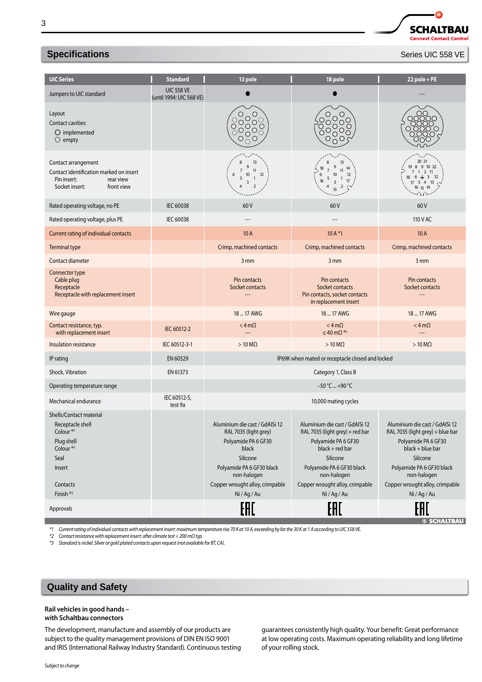### **Specifications Specifications Series UIC 558 VE**

| <b>UIC Series</b>                                                                                                                                               | <b>Standard</b>                               | 13 pole                                                                                                                                                                                        | 18 pole                                                                                                                                                                                                              | $22$ pole + PE                                                                                                                                                                                                       |
|-----------------------------------------------------------------------------------------------------------------------------------------------------------------|-----------------------------------------------|------------------------------------------------------------------------------------------------------------------------------------------------------------------------------------------------|----------------------------------------------------------------------------------------------------------------------------------------------------------------------------------------------------------------------|----------------------------------------------------------------------------------------------------------------------------------------------------------------------------------------------------------------------|
| Jumpers to UIC standard                                                                                                                                         | <b>UIC 558 VE</b><br>(until 1994: UIC 568 VE) |                                                                                                                                                                                                |                                                                                                                                                                                                                      |                                                                                                                                                                                                                      |
| Layout<br>Contact cavities:<br>$O$ implemented<br>$\bigcirc$ empty                                                                                              |                                               | O<br>Ő<br>00000<br>$\bigcirc$                                                                                                                                                                  | $\circ$<br>О<br>200000<br>O                                                                                                                                                                                          |                                                                                                                                                                                                                      |
| Contact arrangement<br>Contact identification marked on insert<br>Pin insert:<br>rear view<br>Socket insert:<br>front view                                      |                                               | 13<br>9<br>7<br>11<br>$10\,$<br>12<br>6<br>5<br>$\mathbf{1}$<br>3                                                                                                                              | 13<br>11<br>10<br>12<br>5<br>17<br>3                                                                                                                                                                                 | 20 21<br>8 9 10 22<br>$1 \t2 \t11$<br>$18 \t6 \t\pm\t3\t12$<br>$17 \quad 5 \quad 4$<br>13<br>16 15                                                                                                                   |
| Rated operating voltage, no PE                                                                                                                                  | IEC 60038                                     | 60V                                                                                                                                                                                            | 60V                                                                                                                                                                                                                  | 60V                                                                                                                                                                                                                  |
| Rated operating voltage, plus PE                                                                                                                                | IEC 60038                                     |                                                                                                                                                                                                |                                                                                                                                                                                                                      | 110 V AC                                                                                                                                                                                                             |
| Current rating of individual contacts                                                                                                                           |                                               | 10 A                                                                                                                                                                                           | $10A*1$                                                                                                                                                                                                              | 10A                                                                                                                                                                                                                  |
| Terminal type                                                                                                                                                   |                                               | Crimp, machined contacts                                                                                                                                                                       | Crimp, machined contacts                                                                                                                                                                                             | Crimp, machined contacts                                                                                                                                                                                             |
| Contact diameter                                                                                                                                                |                                               | 3 mm                                                                                                                                                                                           | 3 mm                                                                                                                                                                                                                 | 3 mm                                                                                                                                                                                                                 |
| Connector type<br>Cable plug<br>Receptacle<br>Receptacle with replacement insert                                                                                |                                               | Pin contacts<br>Socket contacts                                                                                                                                                                | Pin contacts<br>Socket contacts<br>Pin contacts, socket contacts<br>in replacement insert                                                                                                                            | Pin contacts<br>Socket contacts<br>---                                                                                                                                                                               |
| Wire gauge                                                                                                                                                      |                                               | 18  17 AWG                                                                                                                                                                                     | 18  17 AWG                                                                                                                                                                                                           | 18  17 AWG                                                                                                                                                                                                           |
| Contact resistance, typ.<br>with replacement insert                                                                                                             | IEC 60512-2                                   | $<$ 4 m $\Omega$<br>---                                                                                                                                                                        | $<$ 4 m $\Omega$<br>$\leq$ 40 m $\Omega$ <sup>*2</sup>                                                                                                                                                               | $<$ 4 m $\Omega$<br>---                                                                                                                                                                                              |
| Insulation resistance                                                                                                                                           | IEC 60512-3-1                                 | $>10$ M $\Omega$                                                                                                                                                                               | $>10 \text{ M}\Omega$                                                                                                                                                                                                | $>10$ M $\Omega$                                                                                                                                                                                                     |
| IP rating                                                                                                                                                       | EN 60529                                      |                                                                                                                                                                                                | IP69K when mated or receptacle closed and locked                                                                                                                                                                     |                                                                                                                                                                                                                      |
| Shock, Vibration                                                                                                                                                | EN 61373                                      |                                                                                                                                                                                                | Category 1, Class B                                                                                                                                                                                                  |                                                                                                                                                                                                                      |
| Operating temperature range                                                                                                                                     |                                               |                                                                                                                                                                                                | $-50 °C$ +90 °C                                                                                                                                                                                                      |                                                                                                                                                                                                                      |
| Mechanical endurance                                                                                                                                            | IEC 60512-5,<br>test 9a                       |                                                                                                                                                                                                | 10,000 mating cycles                                                                                                                                                                                                 |                                                                                                                                                                                                                      |
| Shells/Contact material<br>Receptacle shell<br>Colour <sup>*3</sup><br>Plug shell<br>Colour <sup>*3</sup><br>Seal<br>Insert<br>Contacts<br>Finish <sup>*3</sup> |                                               | Aluminium die cast / GdAISi 12<br>RAL 7035 (light grey)<br>Polyamide PA 6 GF30<br>black<br>Silicone<br>Polyamide PA 6 GF30 black<br>non-halogen<br>Copper wrought alloy, crimpable<br>Ni/Ag/Au | Aluminium die cast / GdAlSi 12<br>RAL 7035 (light grey) + red bar<br>Polyamide PA 6 GF30<br>$black + red$ bar<br>Silicone<br>Polyamide PA 6 GF30 black<br>non-halogen<br>Copper wrought alloy, crimpable<br>Ni/Ag/Au | Aluminium die cast / GdAlSi 12<br>RAL 7035 (light grey) + blue bar<br>Polyamide PA 6 GF30<br>black + blue bar<br>Silicone<br>Polyamide PA 6 GF30 black<br>non-halogen<br>Copper wrought alloy, crimpable<br>Ni/Ag/Au |
| Approvals                                                                                                                                                       |                                               | EAL                                                                                                                                                                                            | EAD                                                                                                                                                                                                                  | <b>SCHALTBAU</b>                                                                                                                                                                                                     |

*\*1 Current rating of individual contacts with replacement insert: maximum temperature rise 70 K at 10A, exceeding by far the 30 K at 1A according to UIC 558 VE.* 

*\*2 Contact resistance with replacement insert: after climate test <200 mΩ typ.*

*\*3 Standard is nickel. Silver or gold plated contacts upon request (not available for BT, CA).*

### **Quality and Safety**

## **Rail vehicles in good hands –**

The development, manufacture and assembly of our products are subject to the quality management provisions of DIN EN ISO 9001 and IRIS (International Railway Industry Standard). Continuous testing

guarantees consistently high quality. Your benefit: Great performance at low operating costs. Maximum operating reliability and long lifetime of your rolling stock.

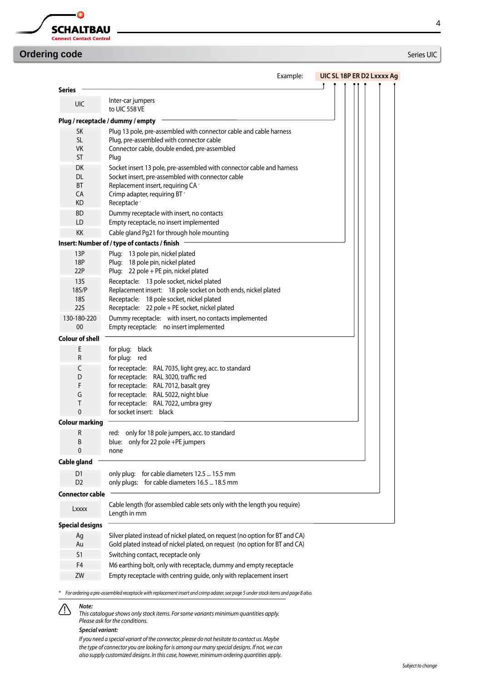

## **Ordering code** Series UIC

# 4

|                                                               | Example:<br>UIC SL 18P ER D2 Lxxxx Ag                                                                                                                                                                                                                                |
|---------------------------------------------------------------|----------------------------------------------------------------------------------------------------------------------------------------------------------------------------------------------------------------------------------------------------------------------|
| <b>Series</b>                                                 |                                                                                                                                                                                                                                                                      |
| <b>UIC</b>                                                    | Inter-car jumpers<br>to UIC 558 VE                                                                                                                                                                                                                                   |
|                                                               | Plug / receptacle / dummy / empty                                                                                                                                                                                                                                    |
| <b>SK</b><br><b>SL</b><br><b>VK</b><br><b>ST</b>              | Plug 13 pole, pre-assembled with connector cable and cable harness<br>Plug, pre-assembled with connector cable<br>Connector cable, double ended, pre-assembled<br>Plug                                                                                               |
| DK<br>DL.<br><b>BT</b><br>CA<br><b>KD</b>                     | Socket insert 13 pole, pre-assembled with connector cable and harness<br>Socket insert, pre-assembled with connector cable<br>Replacement insert, requiring CA *<br>Crimp adapter, requiring BT *<br>Receptacle <sup>*</sup>                                         |
| <b>BD</b><br>LD                                               | Dummy receptacle with insert, no contacts<br>Empty receptacle, no insert implemented                                                                                                                                                                                 |
| <b>KK</b>                                                     | Cable gland Pg21 for through hole mounting                                                                                                                                                                                                                           |
|                                                               | Insert: Number of / type of contacts / finish                                                                                                                                                                                                                        |
| 13P<br>18P<br>22P                                             | Plug: 13 pole pin, nickel plated<br>Plug: 18 pole pin, nickel plated<br>Plug: 22 pole + PE pin, nickel plated                                                                                                                                                        |
| 135<br>18 <sub>5</sub> /P<br>18S<br><b>22S</b><br>130-180-220 | Receptacle: 13 pole socket, nickel plated<br>Replacement insert: 18 pole socket on both ends, nickel plated<br>Receptacle: 18 pole socket, nickel plated<br>Receptacle: 22 pole + PE socket, nickel plated<br>Dummy receptacle: with insert, no contacts implemented |
| 00                                                            | Empty receptacle: no insert implemented                                                                                                                                                                                                                              |
| <b>Colour of shell</b>                                        |                                                                                                                                                                                                                                                                      |
| E<br>R                                                        | for plug: black<br>for plug: red                                                                                                                                                                                                                                     |
| C<br>D<br>F<br>G<br>T<br>$\mathbf{0}$                         | for receptacle: RAL 7035, light grey, acc. to standard<br>for receptacle: RAL 3020, traffic red<br>for receptacle: RAL 7012, basalt grey<br>for receptacle: RAL 5022, night blue<br>for receptacle: RAL 7022, umbra grey<br>for socket insert: black                 |
| Colour marking                                                |                                                                                                                                                                                                                                                                      |
| R<br>B<br>0                                                   | red: only for 18 pole jumpers, acc. to standard<br>only for 22 pole +PE jumpers<br>blue:<br>none                                                                                                                                                                     |
| Cable gland                                                   |                                                                                                                                                                                                                                                                      |
| D <sub>1</sub><br>D <sub>2</sub>                              | only plug: for cable diameters 12.5  15.5 mm<br>only plugs: for cable diameters 16.5  18.5 mm                                                                                                                                                                        |
| <b>Connector cable</b>                                        |                                                                                                                                                                                                                                                                      |
| Lxxxx                                                         | Cable length (for assembled cable sets only with the length you require)<br>Length in mm                                                                                                                                                                             |
| <b>Special designs</b>                                        |                                                                                                                                                                                                                                                                      |
| Ag<br>Au                                                      | Silver plated instead of nickel plated, on request (no option for BT and CA)<br>Gold plated instead of nickel plated, on request (no option for BT and CA)                                                                                                           |
| S1                                                            | Switching contact, receptacle only                                                                                                                                                                                                                                   |
| F4                                                            | M6 earthing bolt, only with receptacle, dummy and empty receptacle                                                                                                                                                                                                   |
| ZW                                                            | Empty receptacle with centring guide, only with replacement insert                                                                                                                                                                                                   |

*\* For ordering a pre-assembled receptacle with replacement insert and crimp adater, see page 5 under stock items and page 8 also.*

### *Note:* ⁄!\

*This catalogue shows only stock items. For some variants minimum quantities apply. Please ask for the conditions.*

### *Special variant:*

*If you need a special variant of the connector, please do not hesitate to contact us. Maybe the type of connector you are looking for is among our many special designs. If not, we can also supply customized designs. In this case, however, minimum ordering quantities apply.*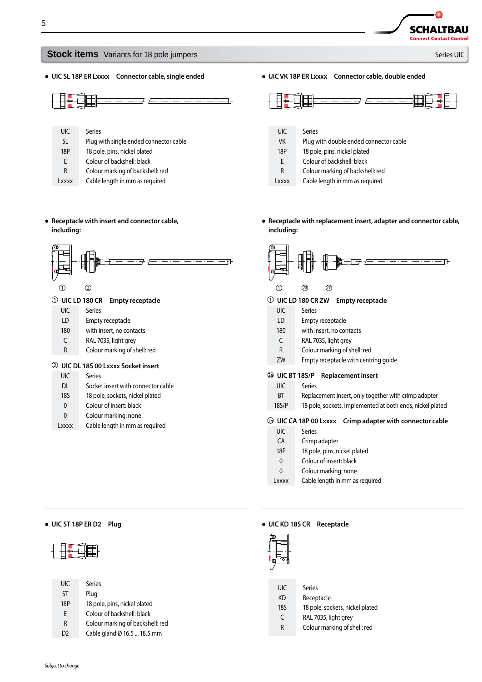### **Stock items** Variants for 18 pole jumpers **Stock items** Variants of 18 pole jumpers Series UIC

● **UIC SL 18P ER Lxxxx Connector cable, single ended**

- UIC SL 18P E Series Plug with single ended connector cable 18 pole, pins, nickel plated Colour of backshell: black
- R Colour marking of backshell: red
- Lxxxx Cable length in mm as required

● **UIC VK 18P ER Lxxxx Connector cable, double ended**



- UIC Series
- VK Plug with double ended connector cable
- 18P 18 pole, pins, nickel plated
- E Colour of backshell: black
- R Colour marking of backshell: red
- Lxxxx Cable length in mm as required
- **Receptacle with replacement insert, adapter and connector cable, including:**



### **UIC LD 180 CR ZW Empty receptacle**

- UIC Series
- LD Empty receptacle
- 180 with insert, no contacts
- C RAL 7035, light grey
- R Colour marking of shell: red
- ZW Empty receptacle with centring guide

### **UIC BT 18S/P Replacement insert**

- UIC Series
- BT Replacement insert, only together with crimp adapter
- 18S/P 18 pole, sockets, implemented at both ends, nickel plated

### **UIC CA 18P 00 Lxxxx Crimp adapter with connector cable**

- UIC Series
- CA Crimp adapter
- 18P 18 pole, pins, nickel plated
- 0 Colour of insert: black
- $\Omega$ Colour marking: none
- Lxxxx Cable length in mm as required

### ● **UIC ST 18P ER D2 Plug** ● **UIC KD 18S CR Receptacle**



| UIC            | Series                           |
|----------------|----------------------------------|
| <b>ST</b>      | Plug                             |
| 18P            | 18 pole, pins, nickel plated     |
| F              | Colour of backshell: black       |
| R              | Colour marking of backshell: red |
| D <sub>2</sub> | Cable gland Ø 16.5  18.5 mm      |



- KD Receptacle
- 18S 18 pole, sockets, nickel plated
- C RAL 7035, light grey
- R Colour marking of shell: red
- 
- **Receptacle with insert and connector cable, including:**



### **UIC LD 180 CR Empty receptacle**

- UIC Series
- LD Empty receptacle
- 180 with insert, no contacts
- C RAL 7035, light grey
- R Colour marking of shell: red

### **UIC DL 18S 00 Lxxxx Socket insert**

- UIC Series
- DL Socket insert with connector cable
- 18S 18 pole, sockets, nickel plated
- $\mathbf{0}$ Colour of insert: black
- 0 Colour marking: none
- Lxxxx Cable length in mm as required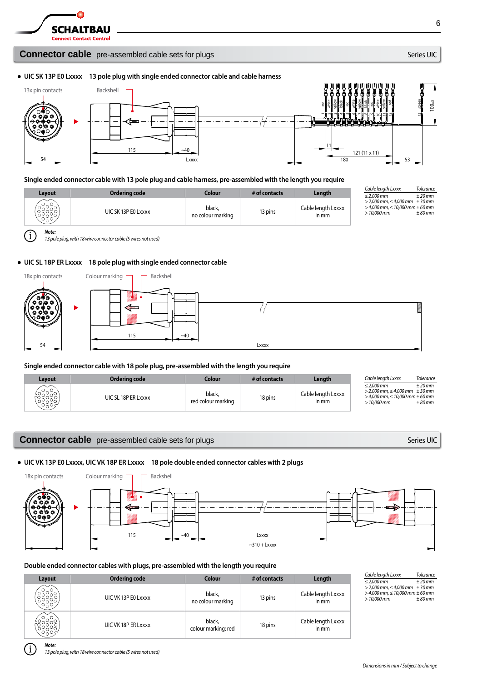

*Note:*

G

### **Connector cable** pre-assembled cable sets for plugs Series UIC Series UIC

6

### ● **UIC SK 13P E0 Lxxxx 13 pole plug with single ended connector cable and cable harness**



### **Single ended connector cable with 13 pole plug and cable harness, pre-assembled with the length you require**

|               |                                      |                                       |                          |                                       | Cable lenath Lxxxx                                                                                                         | <b>Tolerance</b>     |
|---------------|--------------------------------------|---------------------------------------|--------------------------|---------------------------------------|----------------------------------------------------------------------------------------------------------------------------|----------------------|
| Lavout<br>೧ಁ೦ | Ordering code<br>UIC SK 13P EO Lxxxx | Colour<br>black,<br>no colour marking | # of contacts<br>13 pins | Lenath<br>Cable lenath Lxxxx<br>in mm | $\leq$ 2.000 mm<br>$>$ 2,000 mm, $\leq$ 4,000 mm $\pm$ 30 mm<br>$>$ 4,000 mm, $\leq$ 10,000 mm $\pm$ 60 mm<br>$>10.000$ mm | $±20$ mm<br>$±80$ mm |
|               |                                      |                                       |                          |                                       |                                                                                                                            |                      |

*13 pole plug, with 18 wire connector cable (5 wires not used)*

### ● **UIC SL 18P ER Lxxxx 18 pole plug with single ended connector cable**



**Single ended connector cable with 18 pole plug, pre-assembled with the length you require**

| Lavout            | Ordering code       | Colour                       | # of contacts | Length                      | Cable lenath Lxxxx                                                                                                         | <b>Tolerance</b>     |
|-------------------|---------------------|------------------------------|---------------|-----------------------------|----------------------------------------------------------------------------------------------------------------------------|----------------------|
| ╰<br>ಂಸಂಕ<br>ಂಸಂಸ | UIC SL 18P ER Lxxxx | black,<br>red colour marking | 18 pins       | Cable length Lxxxx<br>in mm | $\leq$ 2.000 mm<br>$>$ 2.000 mm, $\leq$ 4.000 mm $\pm$ 30 mm<br>$>$ 4,000 mm, $\leq$ 10,000 mm $\pm$ 60 mm<br>$>10.000$ mm | $±20$ mm<br>$±80$ mm |

### **Connector cable** pre-assembled cable sets for plugs Series UIC Series UIC

### ● **UIC VK 13P E0 Lxxxx, UIC VK 18P ER Lxxxx 18 pole double ended connector cables with 2 plugs**



### **Double ended connector cables with plugs, pre-assembled with the length you require**

| Layout | <b>Ordering code</b> | <b>Colour</b>                 | # of contacts | Length                      |
|--------|----------------------|-------------------------------|---------------|-----------------------------|
|        | UIC VK 13P E0 Lxxxx  | black,<br>no colour marking   | 13 pins       | Cable length Lxxxx<br>in mm |
|        | UIC VK 18P ER Lxxxx  | black,<br>colour marking: red | 18 pins       | Cable length Lxxxx<br>in mm |

| Cable length Lxxxx                         | <b>Tolerance</b> |
|--------------------------------------------|------------------|
| $\leq$ 2.000 mm                            | $±20$ mm         |
| $>$ 2,000 mm, $\leq$ 4,000 mm $\pm$ 30 mm  |                  |
| $>$ 4,000 mm, $\leq$ 10,000 mm $\pm$ 60 mm |                  |
| $>10.000$ mm                               | $±80$ mm         |

*Note:*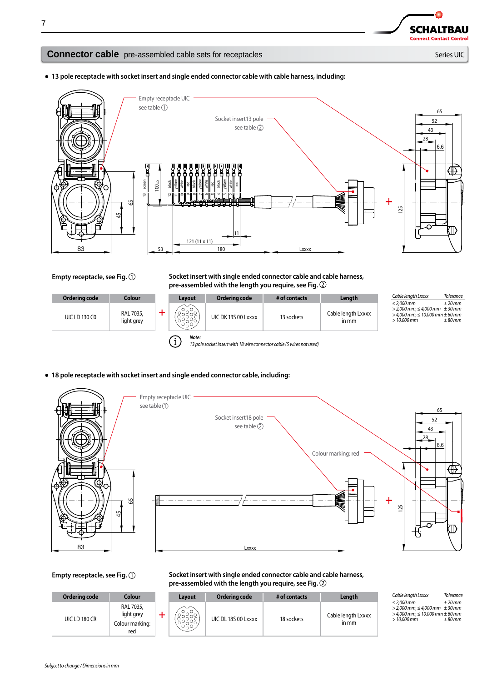**SCHALTBAU Connect Contact Control** 

### **Connector cable** pre-assembled cable sets for receptacles Series Series UIC Series UIC

● **13 pole receptacle with socket insert and single ended connector cable with cable harness, including:**



### Empty receptacle, see Fig.  $\bigcirc$  Socket insert with single ended connector cable and cable harness, **pre-assembled with the length you require, see Fig.**

| Ordering code        | Colour                  | Lavout                | Ordering code                                                         | # of contacts | Length                      | Cable lenath Lxxxx                                                                                                         | <b>Tolerance</b>     |
|----------------------|-------------------------|-----------------------|-----------------------------------------------------------------------|---------------|-----------------------------|----------------------------------------------------------------------------------------------------------------------------|----------------------|
| <b>UIC LD 130 CO</b> | RAL 7035,<br>light grey | ∼<br>ဴး<br>ႏွိႏိ      | UIC DK 13S 00 Lxxxx                                                   | 13 sockets    | Cable length Lxxxx<br>in mm | $\leq$ 2.000 mm<br>$>$ 2,000 mm, $\leq$ 4,000 mm $\pm$ 30 mm<br>$>$ 4,000 mm, $\leq$ 10,000 mm $\pm$ 60 mm<br>$>10.000$ mm | $±20$ mm<br>$±80$ mm |
|                      |                         | Note:<br>$\mathbf{i}$ | 13 nole socket insert with 18 wire connector cable (5 wires not used) |               |                             |                                                                                                                            |                      |

*13 pole socket insert with 18 wire connector cable (5 wires not used)*

● **18 pole receptacle with socket insert and single ended connector cable, including:**



Empty receptacle, see Fig.  $\bigcirc$  Socket insert with single ended connector cable and cable harness, **pre-assembled with the length you require, see Fig.** 

| Ordering code | <b>Colour</b>                                     | Lavout    | Ordering code       | # of contacts | Length                      | Cable lenath Lxxxx                                                                                                        | <b>Tolerance</b>    |
|---------------|---------------------------------------------------|-----------|---------------------|---------------|-----------------------------|---------------------------------------------------------------------------------------------------------------------------|---------------------|
| UIC LD 180 CR | RAL 7035,<br>light grey<br>Colour marking:<br>red | ဴး<br>ႏွိ | UIC DL 18S 00 Lxxxx | 18 sockets    | Cable length Lxxxx<br>in mm | $\leq$ 2.000 mm<br>$>$ 2,000 mm, $\leq$ 4,000 mm $\pm$ 30 mm<br>$>$ 4,000 mm, $\leq$ 10,000 mm $\pm$ 60 mm<br>> 10.000 mm | ±20mm<br>$\pm80$ mm |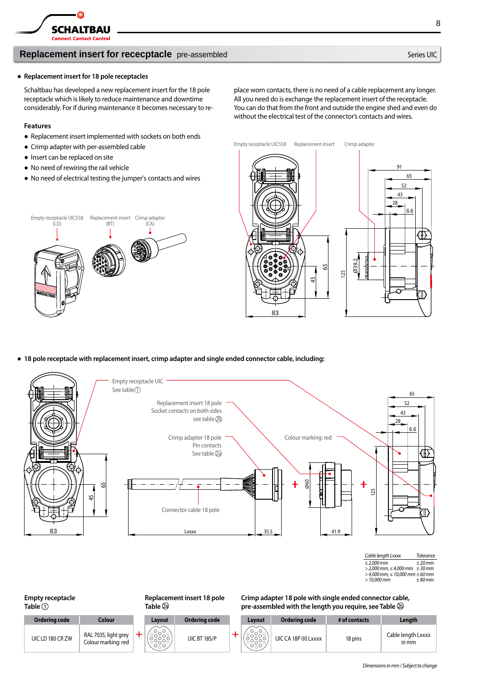

### **Replacement insert for rececptacle** pre-assembled Series UIC Series UIC

### ● **Replacement insert for 18 pole receptacles**

Schaltbau has developed a new replacement insert for the 18 pole receptacle which is likely to reduce maintenance and downtime considerably. For if during maintenance it becomes necessary to re-

### **Features**

- Replacement insert implemented with sockets on both ends
- Crimp adapter with per-assembled cable
- Insert can be replaced on site
- No need of rewiring the rail vehicle
- No need of electrical testing the jumper's contacts and wires

place worn contacts, there is no need of a cable replacement any longer. All you need do is exchange the replacement insert of the receptacle. You can do that from the front and outside the engine shed and even do without the electrical test of the connector's contacts and wires.

Empty receptacle UIC558 Replacement insert Crimp adapter

Empty receptacle UIC558 (LD) Replacement insert Crimp adapter (BT) (CA)



● **18 pole receptacle with replacement insert, crimp adapter and single ended connector cable, including:**



| Cable length Lxxxx                         | <b>Tolerance</b> |
|--------------------------------------------|------------------|
| $\leq$ 2.000 mm                            | $±20$ mm         |
| $>$ 2,000 mm, $\leq$ 4,000 mm $\pm$ 30 mm  |                  |
| $>$ 4,000 mm, $\leq$ 10,000 mm $\pm$ 60 mm |                  |
| $>10.000$ mm                               | $±80$ mm         |

### **Empty receptacle Table Replacement insert 18 pole Table Ordering code Colour + Layout Ordering code +** UIC LD 180 CR ZW  $\begin{array}{|c|c|} \hline \text{RAL 7035, light grey} \\ \text{Column marking: red} \end{array}$

**Crimp adapter 18 pole with single ended connector cable, pre-assembled with the length you require, see Table** 

| Colour                                      | Lavout                                      | Ordering code | Lavout | Ordering code       | # of contacts | Length                       |
|---------------------------------------------|---------------------------------------------|---------------|--------|---------------------|---------------|------------------------------|
| RAL 7035, light grey<br>Colour marking: red | シュー<br>$\sim$ $\sim$ $\sim$<br>$O \wedge O$ | UIC BT 18S/P  | しへし    | UIC CA 18P 00 Lxxxx | 18 pins       | Cable length Lxxxx<br>$n$ mm |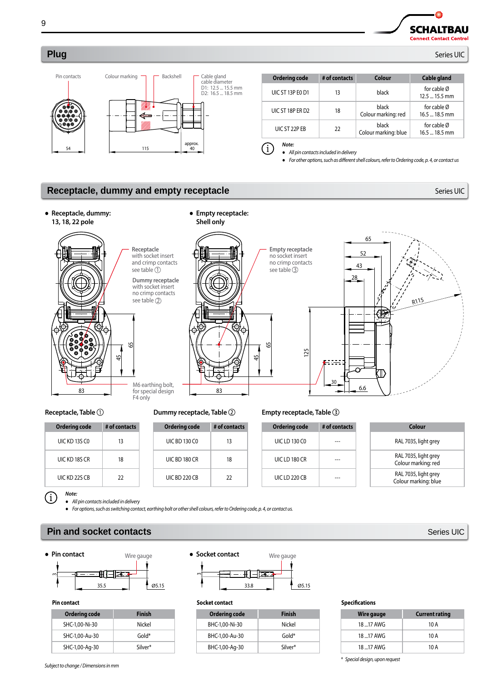**SCHALTBAU Connect Contact Control** 

Δ

### **Plug** Series UIC



| <b>Ordering code</b>    | # of contacts | Colour                               | Cable gland                     |
|-------------------------|---------------|--------------------------------------|---------------------------------|
| <b>UIC ST 13P EO D1</b> | 13            | black                                | for cable Ø<br>$12.5 - 15.5$ mm |
| UIC ST 18P ER D2        | 18            | <b>black</b><br>Colour marking: red  | for cable Ø<br>$16.5$ 18.5 mm   |
| UIC ST 22P EB           | 22            | <b>black</b><br>Colour marking: blue | for cable Ø<br>$16.5 - 18.5$ mm |
| Note:                   |               |                                      |                                 |

*● All pin contacts included in delivery*

*● For other options, such as different shell colours, refer to Ordering code, p. 4, or contact us*

### **Receptacle, dummy and empty receptacle and the contract of the series UIC Series UIC**



### **Receptacle, Table**

| Ordering code        | # of contacts |  |
|----------------------|---------------|--|
| <b>UIC KD 13S CO</b> | 13            |  |
| UIC KD 18S CR        | 18            |  |
| UIC KD 22S CB        | 22            |  |

### **Dummy receptacle, Table**

| Ordering code | # of contacts |
|---------------|---------------|
| UIC BD 130 CO | 13            |
| UIC BD 180 CR | 18            |
| UIC BD 220 CB | 22            |
|               |               |

### **Empty receptacle, Table**

| <b>Ordering code</b> | # of contacts |
|----------------------|---------------|
| UIC LD 130 CO        |               |
| UIC LD 180 CR        |               |
| UIC LD 220 CB        |               |

| Colour                                       |  |
|----------------------------------------------|--|
| RAL 7035, light grey                         |  |
| RAL 7035, light grey<br>Colour marking: red  |  |
| RAL 7035, light grey<br>Colour marking: blue |  |

*Note:*  $(i)$ 

*● All pin contacts included in delivery*

*● For options, such as switching contact, earthing bolt or other shell colours, refer to Ordering code, p. 4, or contact us.*

### **Pin and socket contacts Series UIC CONSIDERING ACCESS Series UIC**





### **Pin contact**

| Ordering code  | Finish  |
|----------------|---------|
| SHC-1,00-Ni-30 | Nickel  |
| SHC-1,00-Au-30 | Gold*   |
| SHC-1,00-Aq-30 | Silver* |



### **Socket contact**

| Ordering code  | <b>Finish</b> |
|----------------|---------------|
| BHC-1.00-Ni-30 | Nickel        |
| BHC-1,00-Au-30 | Gold*         |
| BHC-1,00-Ag-30 | Silver*       |

### **Specifications**

| Wire gauge | <b>Current rating</b> |
|------------|-----------------------|
| 18  17 AWG | 10 A                  |
| 18  17 AWG | 10 A                  |
| 18  17 AWG | 10 A                  |

*\* Special design, upon request*

9

*Subject to change change / Dimensions in mm*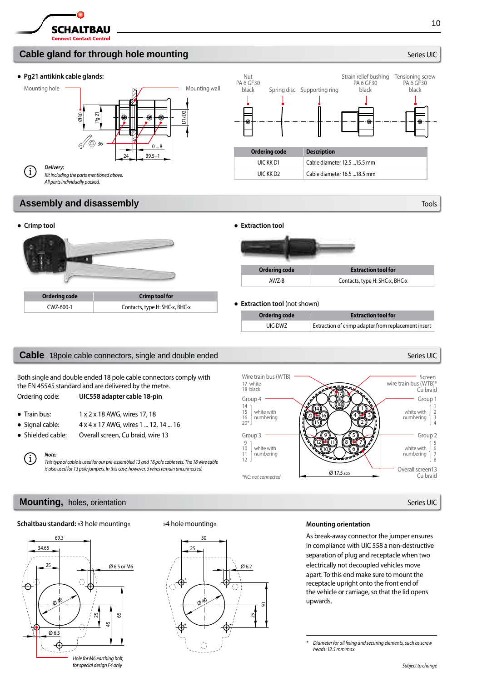

### **Cable gland for through hole mounting and series and series UIC Series UIC Series UIC**

### ● **Pg21 antikink cable glands:**



### **Assembly and disassembly and disassembly**  $T^{[0]}$  **and**  $T^{[0]}$  **and**  $T^{[0]}$  **and**  $T^{[0]}$  **and**  $T^{[0]}$  **and**  $T^{[0]}$  **and**  $T^{[0]}$  **and**  $T^{[0]}$  **and**  $T^{[0]}$  **and**  $T^{[0]}$  **and**  $T^{[0]}$  **and**  $T^{[0]}$  **and**  $T^{[0]}$  **and**  $T^{[0]}$  **and**  $T^{[0]}$  **and**



### **Cable** 18pole cable connectors, single and double ended Series UIC Series UIC Series UIC

Both single and double ended 18 pole cable connectors comply with the EN 45545 standard and are delivered by the metre. Ordering code: **UIC558 adapter cable 18-pin**

 $\bullet$  Train bus:  $1 \times 2 \times 18$  AWG, wires 17, 18

Ξi

- 
- Signal cable: 4 x 4 x 17 AWG, wires 1 ... 12, 14 ... 16
- Shielded cable: Overall screen, Cu braid, wire 13

*Note: This type of cable is used for our pre-assembled 13 and 18 pole cable sets. The 18 wire cable is also used for 13 pole jumpers. In this case, however, 5 wires remain unconnected.*

### **Mounting,** holes, orientation Series UIC and Series UIC and Series UIC and Series UIC and Series UIC and Series UIC

### **Schaltbau standard:** »3 hole mounting«



*for special design F4 only*



### »4 hole mounting« **Mounting orientation**

 $Ø$  17.5 +0.5

9  $(10$  $(12)$   $(11)$  17 18

14 15  $(20)$  (16

Group 4

Group 3

*\*NC: not connected*

17 white 18 black

Wire train bus (WTB)

white with numbering

white with numbering

> As break-away connector the jumper ensures in compliance with UIC 558 a non-destructive separation of plug and receptacle when two electrically not decoupled vehicles move apart. To this end make sure to mount the receptacle upright onto the front end of the vehicle or carriage, so that the lid opens upwards.

1 2 4)

5 6  $8)$  wire train bus (WTB)\*

white with numbering

Group 1

Cu braid

Screen

Overall screen13 Cu braid

white with numbering 10

*<sup>\*</sup> Diameter for all fixing and securing elements, such as screw heads: 12.5 mm max.*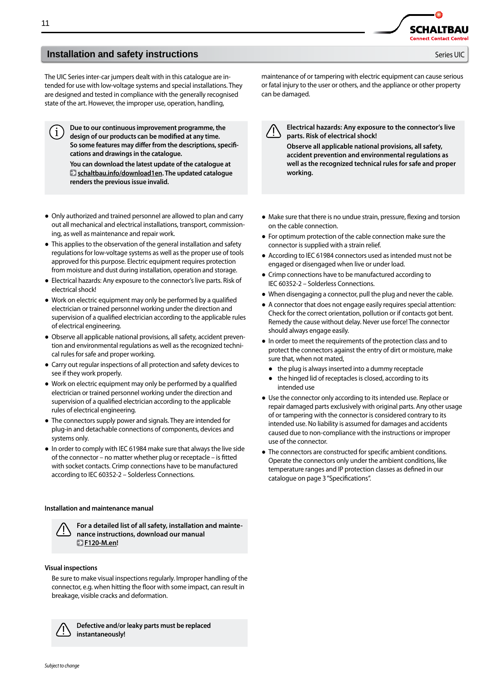The UIC Series inter-car jumpers dealt with in this catalogue are intended for use with low-voltage systems and special installations. They are designed and tested in compliance with the generally recognised state of the art. However, the improper use, operation, handling,

**Due to our continuous improvement programme, the design of our products can be modified at any time. So some features may differ from the descriptions, specifications and drawings in the catalogue.** 

**You can download the latest update of the catalogue at schaltbau.info/download1en. The updated catalogue renders the previous issue invalid.**

- Only authorized and trained personnel are allowed to plan and carry out all mechanical and electrical installations, transport, commissioning, as well as maintenance and repair work.
- This applies to the observation of the general installation and safety regulations for low-voltage systems as well as the proper use of tools approved for this purpose. Electric equipment requires protection from moisture and dust during installation, operation and storage.
- Electrical hazards: Any exposure to the connector's live parts. Risk of electrical shock!
- Work on electric equipment may only be performed by a qualified electrician or trained personnel working under the direction and supervision of a qualified electrician according to the applicable rules of electrical engineering.
- Observe all applicable national provisions, all safety, accident prevention and environmental regulations as well as the recognized technical rules for safe and proper working.
- Carry out regular inspections of all protection and safety devices to see if they work properly.
- Work on electric equipment may only be performed by a qualified electrician or trained personnel working under the direction and supervision of a qualified electrician according to the applicable rules of electrical engineering.
- The connectors supply power and signals. They are intended for plug-in and detachable connections of components, devices and systems only.
- In order to comply with IEC 61984 make sure that always the live side of the connector – no matter whether plug or receptacle – is fitted with socket contacts. Crimp connections have to be manufactured according to IEC 60352-2 – Solderless Connections.

### **Installation and maintenance manual**



**For a detailed list of all safety, installation and maintenance instructions, download our manual F120-M.en!**

### **Visual inspections**

Be sure to make visual inspections regularly. Improper handling of the connector, e.g. when hitting the floor with some impact, can result in breakage, visible cracks and deformation.



**Defective and/or leaky parts must be replaced instantaneously!**

maintenance of or tampering with electric equipment can cause serious or fatal injury to the user or others, and the appliance or other property can be damaged.

**SCHALTBAL** nnect Contact Contr

**Electrical hazards: Any exposure to the connector's live parts. Risk of electrical shock! Observe all applicable national provisions, all safety,** 

**accident prevention and environmental regulations as well as the recognized technical rules for safe and proper working.**

- Make sure that there is no undue strain, pressure, flexing and torsion on the cable connection.
- For optimum protection of the cable connection make sure the connector is supplied with a strain relief.
- According to IEC 61984 connectors used as intended must not be engaged or disengaged when live or under load.
- Crimp connections have to be manufactured according to IEC 60352-2 – Solderless Connections.
- When disengaging a connector, pull the plug and never the cable.
- A connector that does not engage easily requires special attention: Check for the correct orientation, pollution or if contacts got bent. Remedy the cause without delay. Never use force! The connector should always engage easily.
- In order to meet the requirements of the protection class and to protect the connectors against the entry of dirt or moisture, make sure that, when not mated,
	- the plug is always inserted into a dummy receptacle
	- the hinged lid of receptacles is closed, according to its intended use
- Use the connector only according to its intended use. Replace or repair damaged parts exclusively with original parts. Any other usage of or tampering with the connector is considered contrary to its intended use. No liability is assumed for damages and accidents caused due to non-compliance with the instructions or improper use of the connector.
- The connectors are constructed for specific ambient conditions. Operate the connectors only under the ambient conditions, like temperature ranges and IP protection classes as defined in our catalogue on page 3 "Specifications".